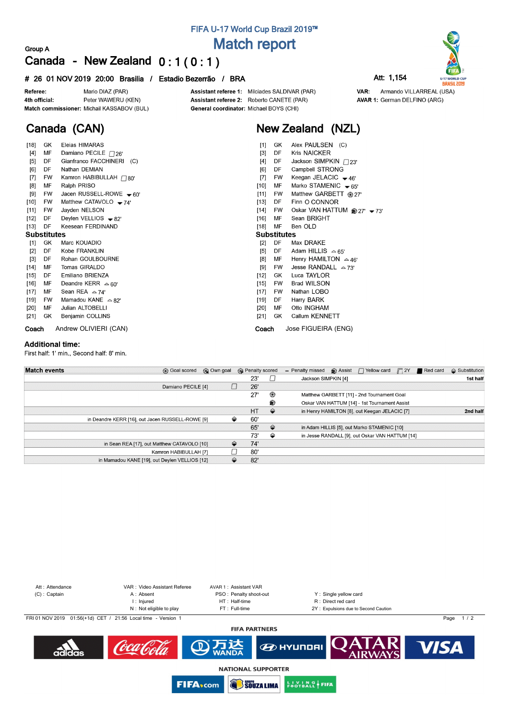## **FIFA U-17 World Cup Brazil 2019™ Match report**

### **Group A Canada - New Zealand 0 : 1 ( 0 : 1 )**

#### **# 26 01 NOV 2019 20:00 Brasilia / Estadio Bezerrão / BRA Att: 1,154**



**Canada (CAN)**

Assistant referee 1: Milciades SALDIVAR (PAR) Assistant referee 2: Roberto CANETE (PAR) General coordinator: Michael BOYS (CHI)

## **New Zealand (NZL)**

| [18]               | GK        | Eleias HIMARAS               | $[1]$<br>GK.<br>Alex PAULSEN (C)                |
|--------------------|-----------|------------------------------|-------------------------------------------------|
| [4]                | МF        | Damiano PECILE $\Box$ 26"    | <b>Kris NAICKER</b><br>$[3]$<br>DF              |
| $[5]$              | DF        | Gianfranco FACCHINERI (C)    | Jackson SIMPKIN / 23'<br>$[4]$<br>DF            |
| [6]                | DF        | Nathan DEMIAN                | Campbell STRONG<br>[6]<br>DF                    |
| $[7]$              | FW        | Kamron HABIBULLAH $\Box$ 80' | Keegan JELACIC $-46'$<br>$[7]$<br>FW            |
| [8]                | МF        | Ralph PRISO                  | Marko STAMENIC $\div$ 65'<br>$[10]$<br>МF       |
| [9]                | <b>FW</b> | Jacen RUSSELL-ROWE $-60'$    | Matthew GARBETT @ 27'<br>[11]<br><b>FW</b>      |
| $[10]$             | <b>FW</b> | Matthew CATAVOLO $-74$       | DF<br>Finn O CONNOR<br>[13]                     |
| $[11]$             | FW        | Jayden NELSON                | Oskar VAN HATTUM @ 27' - 73'<br>FW<br>[14]      |
| $[12]$             | DF        | Deylen VELLIOS $-82'$        | Sean BRIGHT<br>$[16]$<br>МF                     |
| $[13]$             | DF        | Keesean FERDINAND            | MF<br>Ben OLD<br>$[18]$                         |
| <b>Substitutes</b> |           |                              | <b>Substitutes</b>                              |
| $[1]$              | GK        | Marc KOUADIO                 | DF<br>Max DRAKE<br>$[2]$                        |
| $[2]$              | DF        | Kobe FRANKLIN                | Adam HILLIS $\approx 65'$<br>DF<br>$[5]$        |
| $[3]$              | DF        | Rohan GOULBOURNE             | [8]<br>MF<br>Henry HAMILTON $\approx$ 46'       |
| $[14]$             | MF        | Tomas GIRALDO                | Jesse RANDALL $\approx$ 73'<br>[9]<br><b>FW</b> |
| $[15]$             | DF        | Emiliano BRIENZA             | Luca TAYLOR<br>[12]<br>GK                       |
| [16]               | MF        | Deandre KERR $\approx 60'$   | <b>Brad WILSON</b><br>$[15]$<br><b>FW</b>       |
| $[17]$             | МF        | Sean REA $\approx$ 74'       | Nathan LOBO<br><b>FW</b><br>$[17]$              |
| [19]               | <b>FW</b> | Mamadou KANE $\approx$ 82'   | Harry BARK<br>DF<br>[19]                        |
| $[20]$             | MF        | Julian ALTOBELLI             | Otto INGHAM<br>$[20]$<br>MF                     |
| $[21]$             | GK        | Benjamin COLLINS             | Callum KENNETT<br>$[21]$<br>GK.                 |
| Coach              |           | Andrew OLIVIERI (CAN)        | Jose FIGUEIRA (ENG)<br>Coach                    |

#### **Additional time:**

First half: 1' min., Second half: 8' min.

| <b>Match events</b> | <b>B</b> Goal scored                             | © Own goal |     | <b>B</b> Penalty scored | - Penalty missed    | $\bigcirc$ Assist $\bigcap$ Yellow card         | $\Box$ 2Y | Red card | $\triangle$ Substitution |
|---------------------|--------------------------------------------------|------------|-----|-------------------------|---------------------|-------------------------------------------------|-----------|----------|--------------------------|
|                     |                                                  |            | 23' |                         | Jackson SIMPKIN [4] |                                                 |           |          | 1st half                 |
|                     | Damiano PECILE [4]                               |            | 26' |                         |                     |                                                 |           |          |                          |
|                     |                                                  |            | 27' | ⊛                       |                     | Matthew GARBETT [11] - 2nd Tournament Goal      |           |          |                          |
|                     |                                                  |            |     | ⊛                       |                     | Oskar VAN HATTUM [14] - 1st Tournament Assist   |           |          |                          |
|                     |                                                  |            | HT  | ⇔                       |                     | in Henry HAMILTON [8], out Keegan JELACIC [7]   |           |          | 2nd half                 |
|                     | in Deandre KERR [16], out Jacen RUSSELL-ROWE [9] | ⇔          | 60' |                         |                     |                                                 |           |          |                          |
|                     |                                                  |            | 65' | $\Rightarrow$           |                     | in Adam HILLIS [5], out Marko STAMENIC [10]     |           |          |                          |
|                     |                                                  |            | 73' | ⇔                       |                     | in Jesse RANDALL [9], out Oskar VAN HATTUM [14] |           |          |                          |
|                     | in Sean REA [17], out Matthew CATAVOLO [10]      | ⇔          | 74' |                         |                     |                                                 |           |          |                          |
|                     | Kamron HABIBULLAH [7]                            |            | 80' |                         |                     |                                                 |           |          |                          |
|                     | in Mamadou KANE [19], out Deylen VELLIOS [12]    |            | 82' |                         |                     |                                                 |           |          |                          |
|                     |                                                  |            |     |                         |                     |                                                 |           |          |                          |



**U-17 WORLD CUP**<br>**BRASIL 2019** Armando VILLARREAL (USA) **AVAR 1: German DELFINO (ARG)** 

VAR: